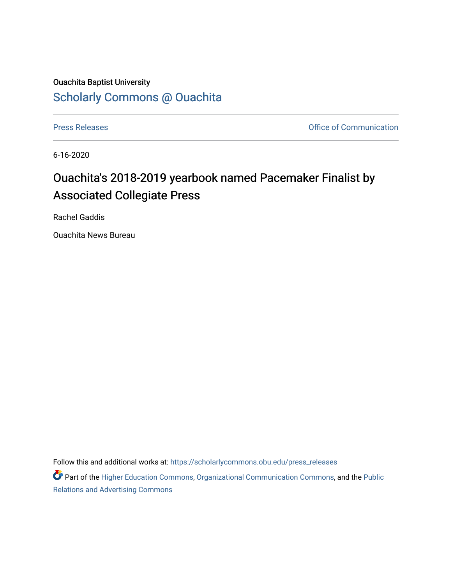## Ouachita Baptist University [Scholarly Commons @ Ouachita](https://scholarlycommons.obu.edu/)

[Press Releases](https://scholarlycommons.obu.edu/press_releases) **Press Releases Communication Press Releases Office of Communication** 

6-16-2020

## Ouachita's 2018-2019 yearbook named Pacemaker Finalist by Associated Collegiate Press

Rachel Gaddis

Ouachita News Bureau

Follow this and additional works at: [https://scholarlycommons.obu.edu/press\\_releases](https://scholarlycommons.obu.edu/press_releases?utm_source=scholarlycommons.obu.edu%2Fpress_releases%2F730&utm_medium=PDF&utm_campaign=PDFCoverPages)

Part of the [Higher Education Commons,](http://network.bepress.com/hgg/discipline/1245?utm_source=scholarlycommons.obu.edu%2Fpress_releases%2F730&utm_medium=PDF&utm_campaign=PDFCoverPages) [Organizational Communication Commons,](http://network.bepress.com/hgg/discipline/335?utm_source=scholarlycommons.obu.edu%2Fpress_releases%2F730&utm_medium=PDF&utm_campaign=PDFCoverPages) and the [Public](http://network.bepress.com/hgg/discipline/336?utm_source=scholarlycommons.obu.edu%2Fpress_releases%2F730&utm_medium=PDF&utm_campaign=PDFCoverPages) [Relations and Advertising Commons](http://network.bepress.com/hgg/discipline/336?utm_source=scholarlycommons.obu.edu%2Fpress_releases%2F730&utm_medium=PDF&utm_campaign=PDFCoverPages)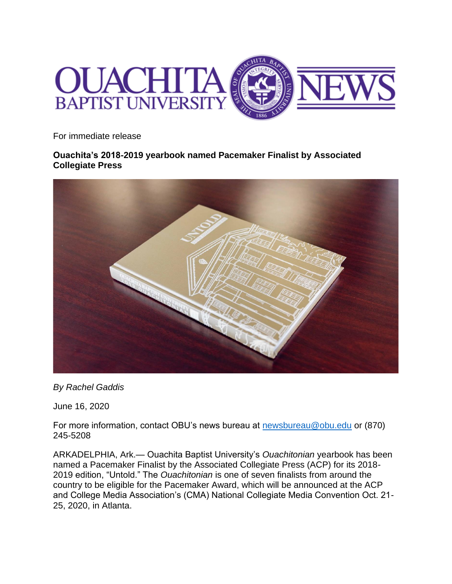

For immediate release

**Ouachita's 2018-2019 yearbook named Pacemaker Finalist by Associated Collegiate Press**



*By Rachel Gaddis*

June 16, 2020

For more information, contact OBU's news bureau at [newsbureau@obu.edu](mailto:newsbureau@obu.edu) or (870) 245-5208

ARKADELPHIA, Ark.— Ouachita Baptist University's *Ouachitonian* yearbook has been named a Pacemaker Finalist by the Associated Collegiate Press (ACP) for its 2018- 2019 edition, "Untold." The *Ouachitonian* is one of seven finalists from around the country to be eligible for the Pacemaker Award, which will be announced at the ACP and College Media Association's (CMA) National Collegiate Media Convention Oct. 21- 25, 2020, in Atlanta.